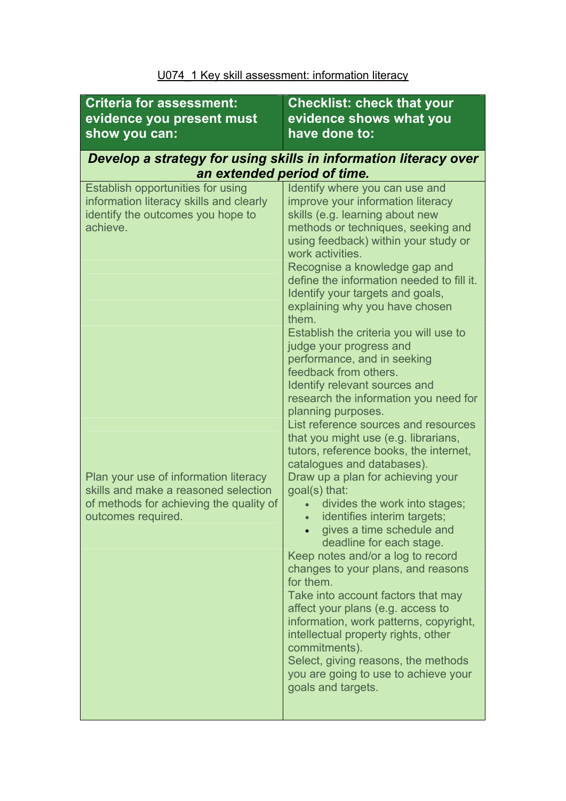| <b>Criteria for assessment:</b><br>evidence you present must<br>show you can:                                                                  | <b>Checklist: check that your</b><br>evidence shows what you<br>have done to:                                                                                                                                                                                                                                                                                                                                                                                                                                                                                                                                                                                                      |  |
|------------------------------------------------------------------------------------------------------------------------------------------------|------------------------------------------------------------------------------------------------------------------------------------------------------------------------------------------------------------------------------------------------------------------------------------------------------------------------------------------------------------------------------------------------------------------------------------------------------------------------------------------------------------------------------------------------------------------------------------------------------------------------------------------------------------------------------------|--|
| Develop a strategy for using skills in information literacy over<br>an extended period of time.                                                |                                                                                                                                                                                                                                                                                                                                                                                                                                                                                                                                                                                                                                                                                    |  |
| Establish opportunities for using<br>information literacy skills and clearly<br>identify the outcomes you hope to<br>achieve.                  | Identify where you can use and<br>improve your information literacy<br>skills (e.g. learning about new<br>methods or techniques, seeking and<br>using feedback) within your study or<br>work activities.<br>Recognise a knowledge gap and<br>define the information needed to fill it.<br>Identify your targets and goals,<br>explaining why you have chosen<br>them.<br>Establish the criteria you will use to<br>judge your progress and<br>performance, and in seeking<br>feedback from others.<br>Identify relevant sources and<br>research the information you need for<br>planning purposes.<br>List reference sources and resources<br>that you might use (e.g. librarians, |  |
| Plan your use of information literacy<br>skills and make a reasoned selection<br>of methods for achieving the quality of<br>outcomes required. | tutors, reference books, the internet,<br>catalogues and databases).<br>Draw up a plan for achieving your<br>goal(s) that:<br>divides the work into stages;<br>identifies interim targets;<br>gives a time schedule and<br>deadline for each stage.<br>Keep notes and/or a log to record<br>changes to your plans, and reasons<br>for them.<br>Take into account factors that may<br>affect your plans (e.g. access to<br>information, work patterns, copyright,<br>intellectual property rights, other<br>commitments).<br>Select, giving reasons, the methods<br>you are going to use to achieve your<br>goals and targets.                                                      |  |

## U074\_1 Key skill assessment: information literacy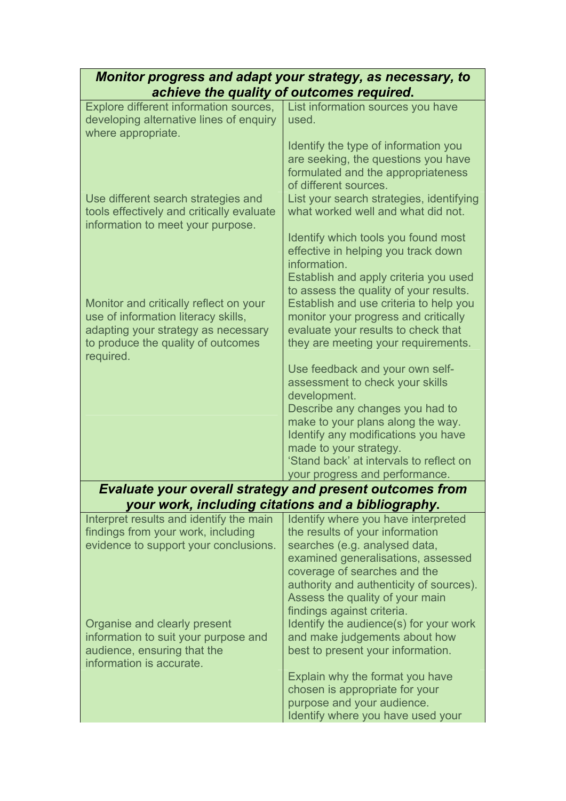| Monitor progress and adapt your strategy, as necessary, to<br>achieve the quality of outcomes required.                                                                 |                                                                                                                                                                                                                                                                                           |
|-------------------------------------------------------------------------------------------------------------------------------------------------------------------------|-------------------------------------------------------------------------------------------------------------------------------------------------------------------------------------------------------------------------------------------------------------------------------------------|
| Explore different information sources,<br>developing alternative lines of enquiry<br>where appropriate.                                                                 | List information sources you have<br>used.                                                                                                                                                                                                                                                |
| Use different search strategies and                                                                                                                                     | Identify the type of information you<br>are seeking, the questions you have<br>formulated and the appropriateness<br>of different sources.<br>List your search strategies, identifying                                                                                                    |
| tools effectively and critically evaluate<br>information to meet your purpose.                                                                                          | what worked well and what did not.                                                                                                                                                                                                                                                        |
|                                                                                                                                                                         | Identify which tools you found most<br>effective in helping you track down<br>information.<br>Establish and apply criteria you used<br>to assess the quality of your results.                                                                                                             |
| Monitor and critically reflect on your<br>use of information literacy skills,<br>adapting your strategy as necessary<br>to produce the quality of outcomes<br>required. | Establish and use criteria to help you<br>monitor your progress and critically<br>evaluate your results to check that<br>they are meeting your requirements.                                                                                                                              |
|                                                                                                                                                                         | Use feedback and your own self-<br>assessment to check your skills<br>development.                                                                                                                                                                                                        |
|                                                                                                                                                                         | Describe any changes you had to<br>make to your plans along the way.<br>Identify any modifications you have                                                                                                                                                                               |
|                                                                                                                                                                         | made to your strategy.<br>'Stand back' at intervals to reflect on<br>your progress and performance.                                                                                                                                                                                       |
| <b>Evaluate your overall strategy and present outcomes from</b>                                                                                                         |                                                                                                                                                                                                                                                                                           |
| your work, including citations and a bibliography.                                                                                                                      |                                                                                                                                                                                                                                                                                           |
| Interpret results and identify the main<br>findings from your work, including<br>evidence to support your conclusions.                                                  | Identify where you have interpreted<br>the results of your information<br>searches (e.g. analysed data,<br>examined generalisations, assessed<br>coverage of searches and the<br>authority and authenticity of sources).<br>Assess the quality of your main<br>findings against criteria. |
| Organise and clearly present<br>information to suit your purpose and<br>audience, ensuring that the<br>information is accurate.                                         | Identify the audience(s) for your work<br>and make judgements about how<br>best to present your information.                                                                                                                                                                              |
|                                                                                                                                                                         | Explain why the format you have<br>chosen is appropriate for your<br>purpose and your audience.<br>Identify where you have used your                                                                                                                                                      |
|                                                                                                                                                                         |                                                                                                                                                                                                                                                                                           |